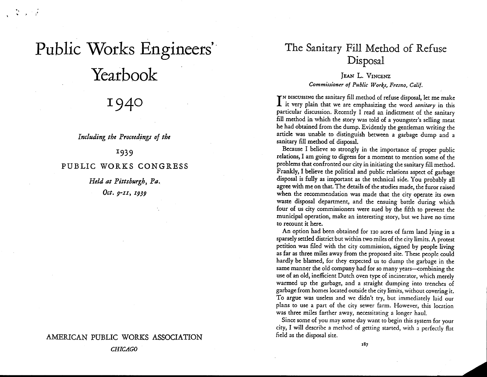# Public Works Engineers' Yearbook

" ..

1940

*Including the Proceed,ings of the*

1939

## PUBLIC WORKS CONGRESS

*Held at Pittsburgh*, Pa. *Oct. g-II, I939*

## AMERlCAN PUBLIC WORKS ASSOCIATION

# The Sanitary Fill Method of Refuse Disposal

## JEAN L. VINCENZ *Commissioner of Public Works, Fresno, Calif.*

I is used in the sanitary fill method of refuse disposal, let me make<br>I it very plain that we are emphasizing the word *sanitary* in this TN DISCUSSING the sanitary fill method of refuse disposal, let me make particular discussion. Recently I read an indictment of the sanitary fill method in which the story was told of a youngster's selling meat he had obtained from the dump. Evidently the gentleman writing the article was unable to distinguish between a garbage dump and a sanitary fill method of disposal.

Because I believe so strongly in the importance of proper public relations, I am going to digress for a moment to mention some of the problems that confronted our city in initiating the sanitary fill method. Frankly, I believe the political and public relations aspect of garbage disposal is fully as important as the technical side. You probably all agree with me on that. The details of the studies made, the furor raised when the recommendation was made that the city operate its own waste disposal department, and the ensuing battle during which four of us city commissioners were sued by the fifth to prevent the municipal operation, make an interesting story, but we have no time to recount it here.

An option had been obtained for 120 acres of farm land lying in a sparsely settled district but within two miles of the city limits. A protest petition was filed with the city commission, signed by people living as far as three miles away from the proposed site. These people could hardly be blamed, for they expected us to dump the garbage in the same manner the old company had for so many years-combining the use of an old, inefficient Dutch oven type of incinerator, which merely warmed up the garbage, and a straight dumping into trenches of garbage from homes located outside the city limits, without covering it. To argue was useless and we didn't try, but immediately laid our plans to use a part of the city sewer farm. However, this location was three miles farther away, necessitating a longer haul.

Since some of you may some day want to begin this system for your city, I wiII describe a method of getting started, with a perfectly flat field as the disposal site.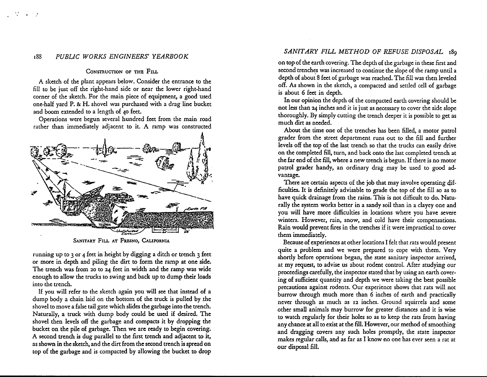#### 188 *PUBLIC WORKS ENGINEERS' YEARBOOK*

 $\mathcal{L} = \mathcal{L}$ 

#### CONSTRUCTION OF THE FILL

A sketch of the plant appears below. Consider the entrance to the fill to be just off the right-hand side or near the lower right-hand corner of the sketch. For the main piece of equipment, a good used one-half yard P. & H. shovel was purchased with a drag line bucket and boom extended to a length of 40 feet.

Operations were begun several hundred feet from the main road rather than immediately adjacent to it. A ramp was constructed



SANITARY FILL AT FRESNO, CALIFORNIA

running up to 3 or 4 feet in height by digging a ditch or trench 3 feet or more in depth and piling the dirt to form the ramp at one side. The trench was from 20 to 24 feet in width and the ramp was wide enough to allow the trucks to swing and back up to dump their loads into the trench.

If you will refer to the sketch again you will see that instead of a dump body a chain laid on the bottom of the truck is pulled by.the shovel to move a false tail gate which slides the garbage into the trench. Naturally, a truck with dump body could be used if desired. The shovel then levels off the garbage and compacts it by dropping the bucket on the pile of garbage. Then we are ready to begin covering. A second trench is dug parallel to the first trench and adjacent to it, as shown in the sketch, and the dirt from the second trench is spread on top of the garbage and is compacted by allowing the bucket to drop

## *SANITARY FILL METHOD OF REFUSE DISPOSAL 189*

on top of the earth covering. The depth of the garbage in these first and second trenches was increased to continue the slope of the ramp until a depth of about 8 feet of garbage was reached.The fill was then leveled off. As shown in the sketch, a compacted and settled cell of garbage is about 6 feet in depth.

In our opinion the depth of the compacted earth covering should be not less than 24 inches and it is just as necessary to cover the side slope thoroughly. By simply cutting the trench deeper it is possible to get as much dirt as needed.

About the time one of the trenches has been filled, a motor patrol grader from the street department runs out to the fill and further levels off the top of the last trench so that the trucks can easily drive on the completed fill, turn, and back onto the last completed trench at the far end of the fill,where a new trench is begun. If there is no motor patrol grader handy, an ordinary drag may be used to good advantage.

There are certain aspects of the job that may involve operating difficulties. It is definitely advisable to grade the top of the fill so as to have quick drainage from the rains. This is not difficult to do. Naturally the system works better in a sandy soil than in a clayey one and you will have more difficulties in locations where you have severe winters. However, rain, snow, and cold have their compensations. Rain would prevent fires in the trenches if it were impractical to cover them immediately.

Because of experiences at other locations I felt that rats would present quite a problem and we were prepared to cope with them. Very shortly before operations began, the state sanitary inspector arrived, at my request, to advise us about rodent control. After studying our proceedings carefully, the inspector stated that by using an earth covering of sufficient quantity and depth we were taking the best possible precautions against rodents. Our experience shows that rats will not burrow through much more than 6 inches of earth and practically never through as much as 12 inches. Ground squirrels and some other small animals may burrow for greater distances and it is wise to watch regularly for their holes so as to keep the rats from having any chance at all to exist at the fill. However, our method of smoothing and dragging covers any such holes promptly, the state inspector makes regular calls, and as far as I know no one has ever seen a rat at our disposal fill.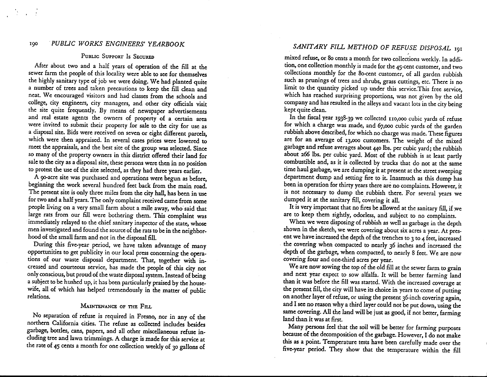## 190 .*PUBLIC WORKS ENGINEERS' YEARBOOK*

 $\rightarrow$ 

#### PUBLIC SUPPORT Is SECURED

After about two and a half years of operation of the fill at the sewer farm the people of this locality were able to see for themselves the highly sanitary type of job we were doing. We had planted quite a number of trees and taken precautions to keep the fill clean and neat. We encouraged visitors and had classes from the schools and college, city engineers, city managers, and other city officials visit the site quite frequently. By means of newspaper advertisements and real estate agents the owners of property of a certain area were invited to submit their property for sale to the city for use as a disposal site. Bids were received on seven or eight different parcels, which were then appraised. In several cases prices were lowered to meet the appraisals, and the best site of the group was selected. Since so many of the property owners in this district offered their land for sale to the city as a disposal site, these persons were then in no position to protest the use of the site selected, as they had three years earlier.

A 9O-acre site was purchased and operations were begun as before, beginning the work several hundred feet back from the main road. The present site is only three miles from the city hall, has been in use for two and a half years. The only complaint received came from some people living on a very small farm about a mile away, who said that large rats from our fill were bothering them. This complaint was immediately relayed to the chief sanitary inspector of the state, whose men investigated and found the source of the rats to be in the neighborhood of the small farm and not in the disposal fill.

During this five-year period, we have taken advantage of many opportunities to get publicity in our local press concerning the operations of our waste disposal department. That, together with increased and courteous service, has made the people of this city not only conscious, but proud of the waste disposal system. Instead of being a subject to be hushed up, it has been particularly praised by the housewife, all of which has helped tremendously in the matter of public relations.

### MAINTENANCE OF THE FILL

No separation of refuse is required in Fresno, nor in any of the northern California cities. The refuse as collected includes besides garbage, bottles, cans, papers, and all other miscellaneous refuse including tree and lawn trimmings. A charge is made for this service at the rate of 45 cents a month for one collection weekly of 30 gallons of

## *SANITARY FlU METHOD OF REFUSE DISPOSAL* <sup>191</sup>

mixed refuse, or 80 cents a month for two collections weekly. In addition, one collection monthly is made for the 45-cent customer, and two collections monthly for the Be-cent customer, of all garden rubbish such as prunings of trees and shrubs, grass cuttings, etc. There is no limit to the quantity picked up under this service.This free service, which has reached surprising proportions, was not given by the old company and has resulted in the alleysand vacant lots in the city being kept quite clean.

In the fiscal year 1938-39 we collected 110,000 cubic yards of refuse for which a charge was made, and 67,000 cubic yards of the garden rubbish above described, for which no charge was made. These figures are for an average of 13,000 customers. The weight of the mixed garbage and refuse averages about 440 lbs, per cubic yard; the rubbish about 266 lbs. per cubic yard. Most of the rubbish is at least partly combustible and, as it is collected by trucks that do not at the same time haul garbage, we are dumping it at present at the street sweeping department dump and setting fire to it. Inasmuch as this dump has been in operation for thirty years there are no complaints. However, it is not necessary to dump the rubbish there. For several years we dumped it at the sanitary fill, covering it all.

It is very important that no fires be allowed at the sanitary fill, if we are to keep them sightly, odorless, and subject to no complaints.

When we were disposing of rubbish as well as garbage in the depth shown in the sketch, we were covering about six acres a year. At present we have increased the depth of the trenches to 3 to 4 feet, increased the covering when compacted to nearly 36 inches and increased the depth of the garbage, when compacted, to nearly 8 feet. We are now covering four and one-third acres per year.

We are now sowing the top of the old fill at the sewer farm to grain and next year expect to sow alfalfa. It will be better farming land than it was before the fill was started. With the increased coverage at the present fill, the city will have its choice in years to come of putting on another layer of refuse, or using the present 36-inch covering again, and I see no reason why a third layer could not be put down, using the same covering. All the land will be just as good, if not better, farming land than it was at first.

Many persons feel that the soil will be better for farming purposes because of the decomposition of the garbage. However, I do not make this as a point. Temperature tests have been carefully made over the five-year period. They show that the temperature within the fill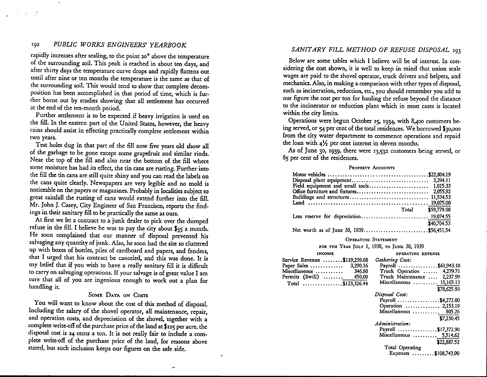## 192 *PUBLIC WORKS ENGINEERS' YEARBOOK*

rapidly increases after sealing, to the point 20° above the temperature of the surrounding soil. This peak is reached in about ten days, and after thirty days the temperature curve drops and rapidly flattens out until after nine or ten months the temperature is the same as that of the surrounding soil. This would tend to show that complete decomposition has been accomplished in that period of time, which is further borne out by studies showing that all settlement has occurred at the end of the ten-month period.

Further settlement is to be expected if heavy irrigation is used on the fill. In the eastern part of the United States, however, the heavy rains should assist in effecting practically complete settlement within two years.

Test holes dug in that part of the fill now five years old show all of the garbage to be gone except some grapefruit and similar rinds. Near the top of the fill and also near the bottom of the fill where some moisture has had its effect, the tin cans are rusting. Further into the fill the tin cans are still quite shiny and you can read the labels on the cans quite clearly. Newspapers are very legible and no mold is noticeable on the papers or magazines. Probably in localities subject to great rainfall the rusting of cans would extend further into the fill. Mr. John J. Casey, City Engineer of San Francisco, reports the findings in their sanitary fill to be practically the same as ours.

At first we let a contract to a junk dealer to pick over the dumped refuse in the fill. I believe he was to pay the city about \$35 a month. He soon complained that our manner of disposal prevented his salvaging any quantity of junk. Also, he soon had the site so cluttered up with boxes of bottles, piles of cardboard and papers, and fenders, that I urged that his contract be canceled, and this was done. It is my belief that if you wish to have a really sanitary fill it is difficult to carry on salvaging operations. If your salvage is of great value I am sure that all of you are ingenious enough to work out a plan for handling it.

#### SOME DATA ON COSTS

You will want to know about the cost of this method of disposal. Including the salary of the shovel operator, all maintenance, repair, and operation costs, and depreciation of the shovel, together with a complete write-off of the purchase price of the land at \$125 per acre, the disposal cost is 24 cents a ton. It is not really fair to include a complete write-off of the purchase price of the land, for reasons above stated, but such inclusion keeps our figures on the safe side.

.<br>محمد

#### *SANITARY FILL METHOD OF REFUSE DISPOSAL* <sup>193</sup>

Below are some tables which I believe will be of interest. In considering the cost shown, it is well to keep in mind that union scale wages are paid to the shovel operator, truck drivers and helpers, and mechanics. Also, in making a comparison with other types of disposal, such as incineration, reduction, etc., you should remember you add to our figure the cost per ton for hauling the refuse beyond the distance to the incinerator or reduction plant which in most cases is located within the city limits.

Operations were begun October 15, 1934, with 8>400 customers being served, or 54 per cent of the total residences. We borrowed \$30,000 from the city water department to commence operations and repaid the loan with  $4\frac{1}{2}$  per cent interest in eleven months.

As of June 30, 1939, there were 13,532 customers being served, or 85 per cent of the residences.

#### PROPERTY ACCOUNTS

| Total \$59,779.08                       |             |
|-----------------------------------------|-------------|
| Less reserve for depreciation 19,074.55 |             |
|                                         | \$40,704.53 |
|                                         |             |

#### OPERATING STATEMENT

FOR THE YEAR JULY 1, 1938, TO JUNE 30, 1939

| <b>INCOME</b>                | OPERATING EXPENSE                           |
|------------------------------|---------------------------------------------|
| Service Revenue \$119,239.68 | Gathering Cost:                             |
| Paper Sales  3,290.16        | Payroll \$61,943.10                         |
| Miscellaneous<br>346.60      | Truck Operation  4,279.71                   |
| Permits (Swill)  450.00      | Truck Maintenance  2.237.99                 |
| Total \$123,326.44           | Miscellaneous  10,165.13                    |
|                              | \$78,625.93                                 |
|                              | Disposal Cost:                              |
|                              | Payroll \$4,272.00                          |
|                              | Operation  2,153.19                         |
|                              | Miscellaneous $\ldots \ldots \ldots$ 805.26 |
|                              | \$7,230.45                                  |
|                              | Administration:                             |
|                              | Payroll \$17,372.90                         |
|                              | Miscellaneous  5,514.62                     |
|                              | \$22,887.52                                 |
|                              | Total Operating                             |
|                              | Expenses \$108,743.90                       |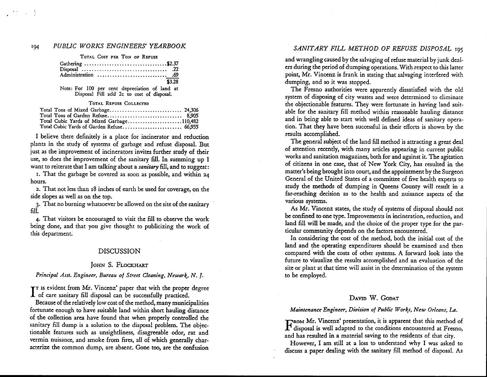## <sup>194</sup> *PUBLIC WORKS ENGINEERS' YEARBOOK SANITARY FILL METHOD* OF *REFUSE* DISPOSA~ *<sup>195</sup>*

 $\sim 10^{-11}$ 

TOTAL COST PER TON OF REFUSE

| Gathering \$2.37    |        |
|---------------------|--------|
|                     |        |
| Administration  .69 |        |
|                     | \$3.28 |

Note: For 100 per cent depreciation of land at Disposal Fill add 2c to cost of disposal.

#### TOTAL REFUSE COLLECTED

| Total Cubic Yards of Mixed Garbage110,482 |  |
|-------------------------------------------|--|
| Total Cubic Yards of Garden Refuse 66,955 |  |

I believe there definitely is a place for incinerator and reduction plants in the study of systems of garbage and refuse disposal. But just as the improvement of incinerators invites further study of their use, so does the improvement of the sanitary fill. In summing up I want to reiterate that I am talking about a *sanitary* fill, and to suggest:

I. That the garbage be covered as soon as possible, and within 24 hours.

2. That not less than 18inches of earth be used for coverage, on the side slopes as well as on the top.

3. That no burning whatsoever be allowed on the site of the sanitary fill

4. That visitors be encouraged to visit the fill to observe the work being done, and that you give thought to publicizing the work of this department:

#### DISCUSSION

#### JOHN S. FLOCKHART

#### *Principal Asst. Engineer, Bureau 01 Street Cleaning, Newark, N.* 1.

I is evident from Mr. Vincenz' paper that with the proper<br>I of care sanitary fill disposal can be successfully practiced. TT Is evident from Mr. Vincenz' paper that with the proper degree

Because of the relatively low cost of the method, many municipalities fortunate enough to have suitable land within short hauling distance of the collection area have found that when properly controlled the sanitary fill dump is a solution to the disposal problem. The objectionable features such as unsightliness, disagreeable odor, rat and vermin nuisance, and smoke from fires, all of which generally characterize the common dump, are absent. Gone too, are the confusion

and wrangling caused by the salvaging of refuse material by junk dealers during the period of dumping operations.With respect to this latter point, Mr. Vincenz is frank in stating that salvaging interfered with dumping, and so it was stopped.

The Fresno authorities were apparently dissatisfied with the old system of disposing of city wastes and were determined to eliminate the objectionable features. They were fortunate in having land suitable for the sanitary fill method within reasonable hauling distance and in being able to start with well defined ideas of sanitary operation. That they have been successful in their efforts is shown by the results accomplished.

The general subject of the land fill method is attracting a great deal of attention recently, with many articles appearing in current public works and sanitation magazines, both for and against it. The agitation of citizens in one case, that of New York City, has resulted in the matter's being brought into court, and the appointment by the Surgeon General of the United States of a committee of five health experts to study the methods of dumping in Queens County will result in a far-reaching decision as to the health and nuisance aspects of the various systems.

As Mr. Vincenz states, the study of systems of disposal should not be confined to one type. Improvements in incineration, reduction, and land fill will be made, and the choice of the proper type for the particular community depends on the factors encountered.

In considering the cost of the method, both the initial cost of the land and the operating expenditures should be examined and then compared with the costs of other systems. A forward look into the future to visualize the results accomplished and an evaluation of the site or plant at that time will assist in the determination of the system to be employed.

#### DAVID W. GODAT

#### *Maintenance Engineer, Division 01 Public Works, New Orleans,* La.

FROM Mr. Vincenz' presentation, it is apparent that this method of disposal is well adapted to the conditions encountered at Fresno, and has resulted in a material saving to the residents of that city.

However, I am still at a loss to understand why I was asked to discuss a paper dealing with the sanitary fill method of disposal. As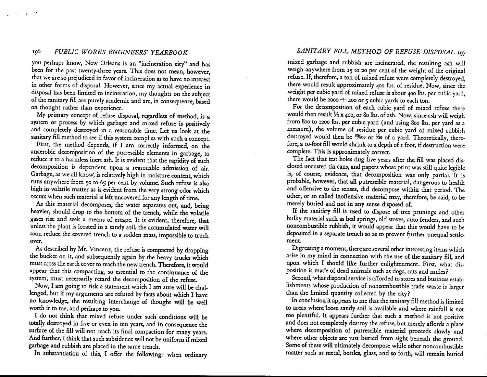I¢ *PUBLIC WORKS ENGINEERS' YEARBOOK*

 $\mathcal{L}_{\rm{max}}$  and  $\mathcal{L}_{\rm{max}}$ 

you perhaps know, New Orleans is an "incineration city" and has been for the past twenty-three years. This does not mean, however, that we are so prejudiced in favor of incineration as to have no interest in other forms of disposal. However, since my actual experience in disposal has been limited to incineration, my thoughts on the subject of the sanitary fill are purely academic and are, in consequence, based on thought rather than experience.

My primary concept of refuse disposal, regardless of method, is a system or process by which garbage and mixed refuse is positively and completely destroyed in a reasonable time. Let us look at the sanitary fill method to see if this system complies with such a concept.

First, the method depends, if I am correctly informed, on the anaerobic decomposition of the putrescible elements in garbage, to reduce it to a harmless inert ash. It is evident that the rapidity of such decomposition is dependent upon a reasonable admission of air. Garbage, as we all know, is relatively high in moisture content, which runs anywhere from 50 to 65 per cent by volume, Such refuse is also high in volatile matter as is evident from the very strong odor which occurs when such material is left uncovered for any length of time.

*As* this material decomposes, the water separates out, and, being heavier, should drop to the bottom of the trench, while the volatile gases rise and seek a means of escape. It is evident, therefore, that unless the plant is located in a sandy soil, the accumulated water will soon reduce the covered trench to a sodden mass, impossible to truck over.

As described by Mr. Vincenz, the refuse is compacted by dropping the bucket on it, and subsequently again by the heavy trucks which must cross the earth cover to reach the new trench. Therefore, it would appear that this compacting, so essential to the continuance of the system, must necessarily retard the decomposition of the refuse.

Now, I am going to risk a statement which I am sure will be challenged, but if my arguments are refuted by facts about which I have no knowledge, the resulting interchange of thought will be well worth it to me, and perhaps to you.

I do not think that mixed refuse under such conditions will be totally destroyed in five or even in ten years, and in consequence the surface of the fill will not reach its final compaction for many years. And further, I think that such subsidence will not be uniform if mixed garbage and rubbish are placed in the same trench.

In substantiation of this, I offer the following: when ordinary

## *SANITARY FILL METHOD OF REFUSE DISPOSAL 197*

mixed garbage and rubbish are incinerated, the resulting ash will weigh anywhere from 15 to 20 per cent of the weight of the original refuse. If, therefore, a ton of mixed refuse were completely destroyed, there would result approximately 400 lbs. of residue. Now, since the weight per cubic yard of mixed refuse is about 400 lbs. per cubic yard, there would be 2000  $\div$  400 or 5 cubic yards to each ton.

For the decomposition of each cubic yard of mixed refuse there would then result  $\frac{1}{6}$  x 400, or 80 lbs. of ash. Now, since ash will weigh from 800 to 1200 lbs. per cubic yard (and using 800 lbs. per yard as a measure), the volume of residue per cubic yard of mixed rubbish destroyed would then be  $8\%$ 00 or  $\overline{A}$ 0 of a yard. Theoretically, therefore, a 10-foot fill would shrink to a depth of 1 foot, if destruction were complete. This is approximately correct.

The fact that test holes dug five years after the fill was placed disclosed unrusted tin cans, and papers whose print was still quite legible is, of course, evidence, that decomposition was only partial. It is probable, however, that all putrescible material, dangerous to health and offensive to the senses, did decompose within that period. The other, or so called inoffensive material may, therefore, be said, to be merely buried and not in any sense disposed of.

If the sanitary fill is used to dispose of tree prunings and other bulky material such as bed springs, old stoves, auto fenders, and such noncombustible rubbish, it would appear that this would have to be deposited in a separate trench so as to prevent further unequal settlement.

Digressing a moment, there are several other interesting items which arise in my mind in connection with the use of the sanitary fill, and upon which I should like further enlightenment, First, what disposition is made of dead animals such as dogs, cats and mules?

Second, what disposal service is afforded to stores and business establishments whose production of noncombustible trade waste is larger than the limited quantity collected by the city?

In conclusion it appears to me that the sanitary fill method is limited to areas where loose sandy soil is available and where rainfall is not too plentiful. It appears further that such a method is not positive and does not completely destroy the refuse, but merely affords a place where decomposition of putrescible material proceeds slowly and where other objects are just buried from sight beneath the ground. Some of these will ultimately decompose while other noncombustible matter such as metal, bottles, glass, and so forth, will remain buried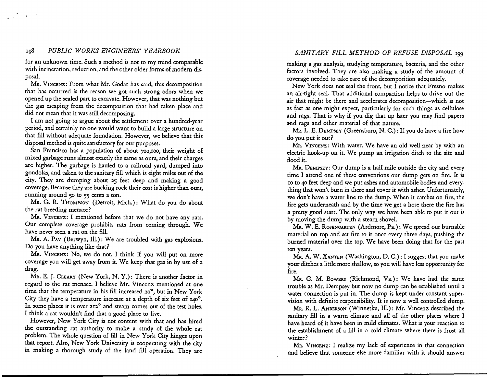#### *198 PUBliC WORKS ENGINEERS' YEARBOOK*

for an unknown time. Such a method is not to my mind comparable with incineration, reduction, and the other older forms of modern disposal.

MR. VINCENZ: From what Mr. Godat has said, this decomposition that has occurred is the reason we got such strong odors when we opened up the sealed part to excavate.However, that was nothing but the gas escaping from the decomposition that had taken place and did not mean that it was still decomposing.

I am not going to argue about the settlement over a hundred-year period, and certainly no one would want to build a large structure on that fill without adequate foundation. However, we believe that this disposal method is quite satisfactory for our purposes.

San Francisco has a population of about 700,000, their weight of mixed garbage runs almost exactly the same as ours, and their charges are higher. The garbage is hauled to a railroad yard, dumped into gondolas, and taken to the sanitary fill which is eight miles out of the city. They are dumping about 25 feet deep and making a good coverage. Because they are bucking rock their cost is higher than ours, running around 50 to 55 cents a ton.

Mr. G. R. THOMPSON (Detroit, Mich.): What do you do about the rat breeding menace?

MR. VINCENZ: I mentioned before that we do not have any rats. Our complete coverage prohibits rats from coming through. We have never seen a rat on the fill.

MR. A. PAV (Berwyn, Ill.): We are troubled with gas explosions. Do you have anything like that?

MR. VINCENZ: No, we do not. I think if you will put on more coverage you will get away from it. We keep that gas in by use of a drag.

MR. E. J. CLEARY (New York, N. Y.): There is another factor in regard to the rat menace. I believe Mr. Vincenz mentioned at one time that the temperature in his fill increased 20°, but in New York City they have a temperature increase at a depth of six feet of 140°. In some places it is over 212° and steam comes out of the test holes. I think a rat wouldn't find that a good place to live.

However, New York City is not content with that and has hired the outstanding rat authority to make a study of the whole rat problem. The whole question of fill in New York City hinges upon that report. Also, New York University is cooperating with the city in making a thorough study of the land fill operation. They are

#### *SANITARY FILL METHOD OF REFUSE DISPOSAL* <sup>199</sup>

making a gas analysis, studying temperature, bacteria, and the other factors involved. They are also making a study of the amount of coverage needed to take care of the decomposition adequately.

New York does not seal the front, but I notice that Fresno makes an air-tight seal. That additional compaction helps to drive out the air that might be there and accelerates decomposition-which is not as fast as one might expect, particularly for such things as cellulose and rags. That is why if you dig that up later you may find papers and rags and other material of that nature.

MR. L. E. DEMPSEY (Greensboro, N. C.): If you do have a fire how do you put it out?

MR. VINCENZ: With water. We have an old well near by with an electric hook-up on it. We pump an irrigation ditch to the site and flood it.

MR.DEMPSEY: Our dump is a half mile outside the city and every time I attend one of these conventions our dump gets on fire. It is 10 to 40 feet deep and we put ashes and automobile bodies and everything that won't burn in there and cover it with ashes. Unfortunately, we don't have a water line to the dump. When it catches on fire, the fire gets underneath and by the time we get a hose there the fire has a pretty good start. The only way we have been able to put it out is by moving the dump with a steam shovel.

MR.W. E. ROSENGARTEN (Ardmore, Pa.): We spread our burnable material on top and set fire to it once every three days, pushing the burned material over the top. We have been doing that for the past ten years.

MR.A. W. XANTEN (Washington, D. C.): I suggest that you make your ditches a little more shallow, so you will have lessopportunity for fire.

MR. G. M. BOWERS (Richmond, Va.): We have had the same trouble as Mr. Dempsey but now no dump can be established until a water connection is put in. The dump is kept under constant supervision with definite responsibility. It is now a well controlled dump.

MR. R. L. ANDERSON (Winnetka, Ill.): Mr. Vincenz described the sanitary fill in a warm climate and all of the other places where I have heard of it have been in mild climates. What is your reaction to the establishment of a fill in a cold climate where there is frost all winter?

MR. VINCENZ: I realize my lack of experience in that connection and believe that someone else more familiar with it should answer